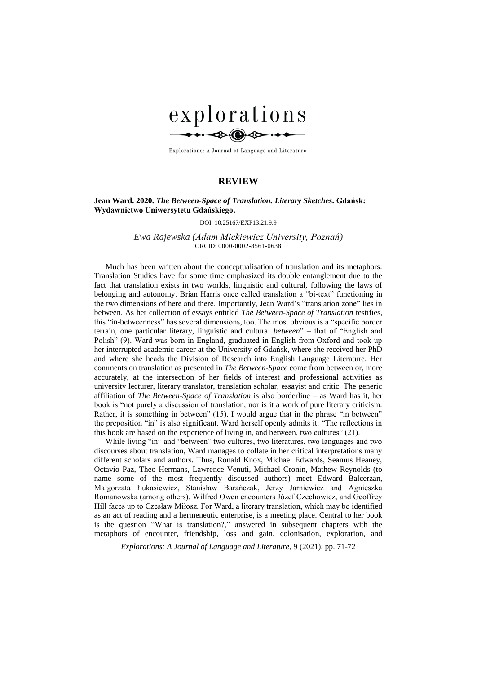

Explorations: A Journal of Language and Literature

## **REVIEW**

## **Jean Ward. 2020.** *The Between-Space of Translation. Literary Sketches***. Gdańsk: Wydawnictwo Uniwersytetu Gdańskiego.**

DOI: 10.25167/EXP13.21.9.9

*Ewa Rajewska (Adam Mickiewicz University, Poznań)* ORCID: 0000-0002-8561-0638

Much has been written about the conceptualisation of translation and its metaphors. Translation Studies have for some time emphasized its double entanglement due to the fact that translation exists in two worlds, linguistic and cultural, following the laws of belonging and autonomy. Brian Harris once called translation a "bi-text" functioning in the two dimensions of here and there. Importantly, Jean Ward's "translation zone" lies in between. As her collection of essays entitled *The Between-Space of Translation* testifies, this "in-betweenness" has several dimensions, too. The most obvious is a "specific border terrain, one particular literary, linguistic and cultural *between*" – that of "English and Polish" (9). Ward was born in England, graduated in English from Oxford and took up her interrupted academic career at the University of Gdańsk, where she received her PhD and where she heads the Division of Research into English Language Literature. Her comments on translation as presented in *The Between-Space* come from between or, more accurately, at the intersection of her fields of interest and professional activities as university lecturer, literary translator, translation scholar, essayist and critic. The generic affiliation of *The Between-Space of Translation* is also borderline – as Ward has it, her book is "not purely a discussion of translation, nor is it a work of pure literary criticism. Rather, it is something in between" (15). I would argue that in the phrase "in between" the preposition "in" is also significant. Ward herself openly admits it: "The reflections in this book are based on the experience of living in, and between, two cultures" (21).

While living "in" and "between" two cultures, two literatures, two languages and two discourses about translation, Ward manages to collate in her critical interpretations many different scholars and authors. Thus, Ronald Knox, Michael Edwards, Seamus Heaney, Octavio Paz, Theo Hermans, Lawrence Venuti, Michael Cronin, Mathew Reynolds (to name some of the most frequently discussed authors) meet Edward Balcerzan, Małgorzata Łukasiewicz, Stanisław Barańczak, Jerzy Jarniewicz and Agnieszka Romanowska (among others). Wilfred Owen encounters Józef Czechowicz, and Geoffrey Hill faces up to Czesław Miłosz. For Ward, a literary translation, which may be identified as an act of reading and a hermeneutic enterprise, is a meeting place. Central to her book is the question "What is translation?," answered in subsequent chapters with the metaphors of encounter, friendship, loss and gain, colonisation, exploration, and

*Explorations: A Journal of Language and Literature*, 9 (2021), pp. 71-72